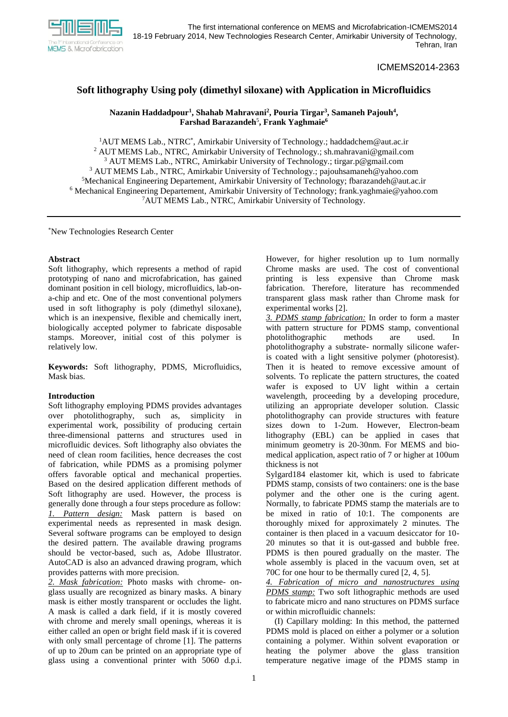

ICMEMS2014-2363

# **Soft lithography Using poly (dimethyl siloxane) with Application in Microfluidics**

# **Nazanin Haddadpour<sup>1</sup> , Shahab Mahravani<sup>2</sup> , Pouria Tirgar<sup>3</sup> , Samaneh Pajouh<sup>4</sup> , Farshad Barazandeh**<sup>5</sup> **, Frank Yaghmaie<sup>6</sup>**

<sup>1</sup>AUT MEMS Lab., NTRC<sup>\*</sup>, Amirkabir University of Technology.; haddadchem@aut.ac.ir <sup>2</sup> AUT MEMS Lab., NTRC, Amirkabir University of Technology.; sh.mahravani@gmail.com AUT MEMS Lab., NTRC, Amirkabir University of Technology.; [tirgar.p@gmail.com](mailto:tirgar.p@gmail.com) AUT MEMS Lab., NTRC, Amirkabir University of Technology.; pajouhsamaneh@yahoo.com Mechanical Engineering Departement, Amirkabir University of Technology; fbarazandeh@aut.ac.ir Mechanical Engineering Departement, Amirkabir University of Technology; [frank.yaghmaie@yahoo.com](mailto:frank.yaghmaie@yahoo.com) AUT MEMS Lab., NTRC, Amirkabir University of Technology.

\*New Technologies Research Center

### **Abstract**

Soft lithography, which represents a method of rapid prototyping of nano and microfabrication, has gained dominant position in cell biology, microfluidics, lab-ona-chip and etc. One of the most conventional polymers used in soft lithography is poly (dimethyl siloxane), which is an inexpensive, flexible and chemically inert, biologically accepted polymer to fabricate disposable stamps. Moreover, initial cost of this polymer is relatively low.

**Keywords:** Soft lithography, PDMS, Microfluidics, Mask bias.

# **Introduction**

Soft lithography employing PDMS provides advantages over photolithography, such as, simplicity in experimental work, possibility of producing certain three-dimensional patterns and structures used in microfluidic devices. Soft lithography also obviates the need of clean room facilities, hence decreases the cost of fabrication, while PDMS as a promising polymer offers favorable optical and mechanical properties. Based on the desired application different methods of Soft lithography are used. However, the process is generally done through a four steps procedure as follow: *1. Pattern design:* Mask pattern is based on experimental needs as represented in mask design*.*  Several software programs can be employed to design the desired pattern. The available drawing programs should be vector-based, such as, Adobe Illustrator. AutoCAD is also an advanced drawing program, which provides patterns with more precision.

*2. Mask fabrication:* Photo masks with chrome- onglass usually are recognized as binary masks. A binary mask is either mostly transparent or occludes the light. A mask is called a dark field, if it is mostly covered with chrome and merely small openings, whereas it is either called an open or bright field mask if it is covered with only small percentage of chrome [1]. The patterns of up to 20um can be printed on an appropriate type of glass using a conventional printer with 5060 d.p.i.

However, for higher resolution up to 1um normally Chrome masks are used. The cost of conventional printing is less expensive than Chrome mask fabrication. Therefore, literature has recommended transparent glass mask rather than Chrome mask for experimental works [2].

*3. PDMS stamp fabrication:* In order to form a master with pattern structure for PDMS stamp, conventional photolithographic methods are used. In photolithography a substrate- normally silicone waferis coated with a light sensitive polymer (photoresist). Then it is heated to remove excessive amount of solvents. To replicate the pattern structures, the coated wafer is exposed to UV light within a certain wavelength, proceeding by a developing procedure, utilizing an appropriate developer solution. Classic photolithography can provide structures with feature sizes down to 1-2um. However, Electron-beam lithography (EBL) can be applied in cases that minimum geometry is 20-30nm. For MEMS and biomedical application, aspect ratio of 7 or higher at 100um thickness is not

Sylgard184 elastomer kit, which is used to fabricate PDMS stamp, consists of two containers: one is the base polymer and the other one is the curing agent. Normally, to fabricate PDMS stamp the materials are to be mixed in ratio of 10:1. The components are thoroughly mixed for approximately 2 minutes. The container is then placed in a vacuum desiccator for 10- 20 minutes so that it is out-gassed and bubble free. PDMS is then poured gradually on the master. The whole assembly is placed in the vacuum oven, set at 70C for one hour to be thermally cured [2, 4, 5].

*4. Fabrication of micro and nanostructures using PDMS stamp:* Two soft lithographic methods are used to fabricate micro and nano structures on PDMS surface or within microfluidic channels:

(I) Capillary molding: In this method, the patterned PDMS mold is placed on either a polymer or a solution containing a polymer. Within solvent evaporation or heating the polymer above the glass transition temperature negative image of the PDMS stamp in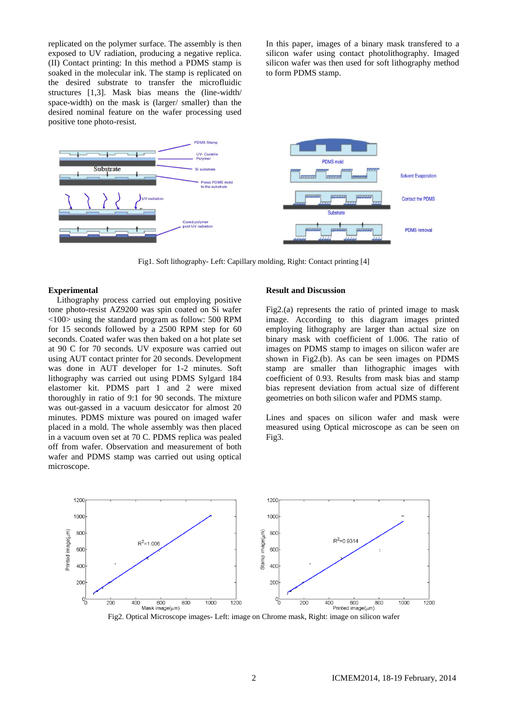replicated on the polymer surface. The assembly is then exposed to UV radiation, producing a negative replica. (II) Contact printing: In this method a PDMS stamp is soaked in the molecular ink. The stamp is replicated on the desired substrate to transfer the microfluidic structures [1,3]. Mask bias means the (line-width/ space-width) on the mask is (larger/ smaller) than the desired nominal feature on the wafer processing used positive tone photo-resist.

In this paper, images of a binary mask transfered to a silicon wafer using contact photolithography. Imaged silicon wafer was then used for soft lithography method to form PDMS stamp.



Fig1. Soft lithography- Left: Capillary molding, Right: Contact printing [4]

#### **Experimental**

 Lithography process carried out employing positive tone photo-resist AZ9200 was spin coated on Si wafer <100> using the standard program as follow: 500 RPM for 15 seconds followed by a 2500 RPM step for 60 seconds. Coated wafer was then baked on a hot plate set at 90 C for 70 seconds. UV exposure was carried out using AUT contact printer for 20 seconds. Development was done in AUT developer for 1-2 minutes. Soft lithography was carried out using PDMS Sylgard 184 elastomer kit. PDMS part 1 and 2 were mixed thoroughly in ratio of 9:1 for 90 seconds. The mixture was out-gassed in a vacuum desiccator for almost 20 minutes. PDMS mixture was poured on imaged wafer placed in a mold. The whole assembly was then placed in a vacuum oven set at 70 C. PDMS replica was pealed off from wafer. Observation and measurement of both wafer and PDMS stamp was carried out using optical microscope.

#### **Result and Discussion**

Fig2.(a) represents the ratio of printed image to mask image. According to this diagram images printed employing lithography are larger than actual size on binary mask with coefficient of 1.006. The ratio of images on PDMS stamp to images on silicon wafer are shown in Fig2.(b). As can be seen images on PDMS stamp are smaller than lithographic images with coefficient of 0.93. Results from mask bias and stamp bias represent deviation from actual size of different geometries on both silicon wafer and PDMS stamp.

Lines and spaces on silicon wafer and mask were measured using Optical microscope as can be seen on Fig3.



Fig2. Optical Microscope images- Left: image on Chrome mask, Right: image on silicon wafer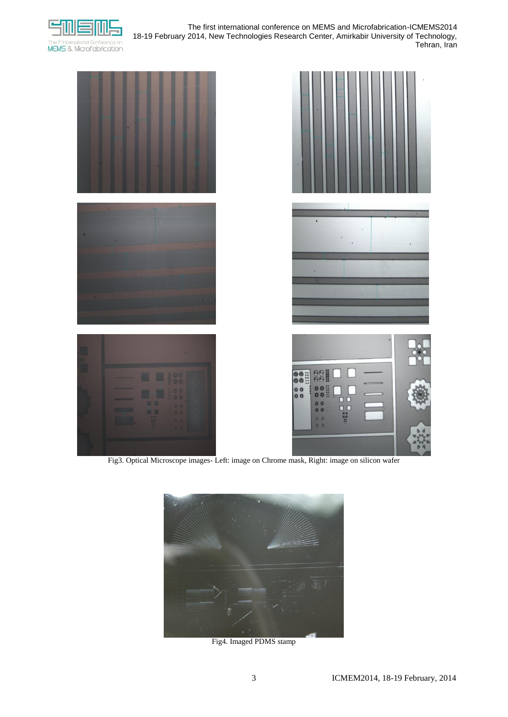

The first international conference on MEMS and Microfabrication-ICMEMS2014 18-19 February 2014, New Technologies Research Center, Amirkabir University of Technology, Tehran, Iran







Fig4. Imaged PDMS stamp